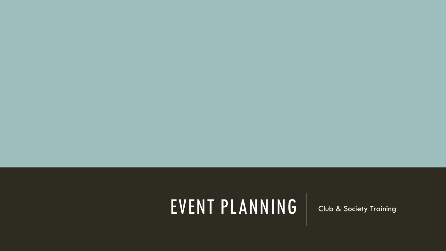## EVENT PLANNING Club & Society Training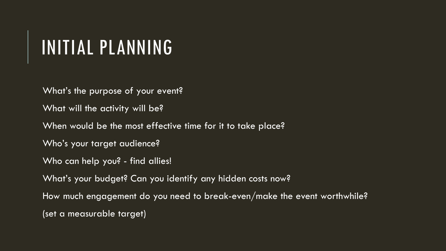### INITIAL PLANNING

What's the purpose of your event?

What will the activity will be?

When would be the most effective time for it to take place?

Who's your target audience?

Who can help you? - find allies!

What's your budget? Can you identify any hidden costs now?

How much engagement do you need to break-even/make the event worthwhile?

(set a measurable target)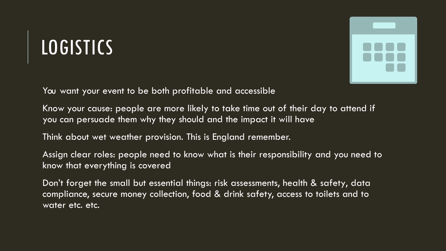### LOGISTICS



You want your event to be both profitable and accessible

Know your cause: people are more likely to take time out of their day to attend if you can persuade them why they should and the impact it will have

Think about wet weather provision. This is England remember.

Assign clear roles: people need to know what is their responsibility and you need to know that everything is covered

Don't forget the small but essential things: risk assessments, health & safety, data compliance, secure money collection, food & drink safety, access to toilets and to water etc. etc.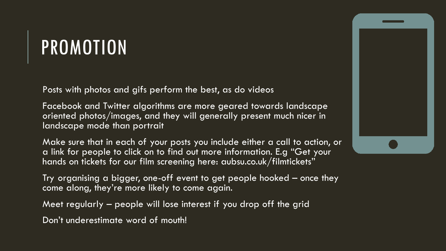### PROMOTION

Posts with photos and gifs perform the best, as do videos

Facebook and Twitter algorithms are more geared towards landscape oriented photos/images, and they will generally present much nicer in landscape mode than portrait

Make sure that in each of your posts you include either a call to action, or a link for people to click on to find out more information. E.g "Get your hands on tickets for our film screening here: aubsu.co.uk/filmtickets"

Try organising a bigger, one-off event to get people hooked – once they come along, they're more likely to come again.

Meet regularly – people will lose interest if you drop off the grid

Don't underestimate word of mouth!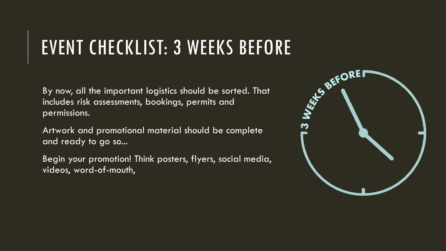### EVENT CHECKLIST: 3 WEEKS BEFORE

By now, all the important logistics should be sorted. That includes risk assessments, bookings, permits and permissions.

Artwork and promotional material should be complete and ready to go so...

Begin your promotion! Think posters, flyers, social media, videos, word-of-mouth,

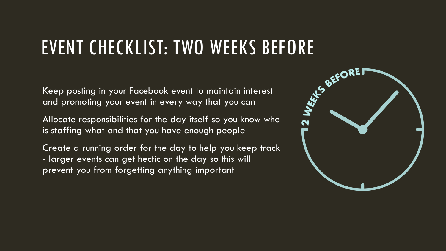# **EVENT CHECKLIST: TWO WEEKS BEFORE**<br>Keep posting in your Facebook event to maintain interest<br>and promoting your event in every way that you can<br>the property way that you can

Keep posting in your Facebook event to maintain interest and promoting your event in every way that you can

Allocate responsibilities for the day itself so you know who is staffing what and that you have enough people

Create a running order for the day to help you keep track - larger events can get hectic on the day so this will prevent you from forgetting anything important

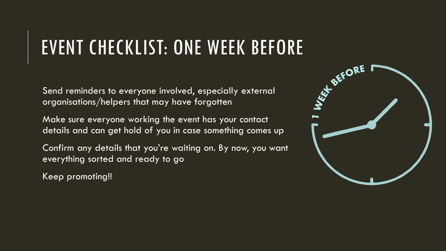### EVENT CHECKLIST: ONE WEEK BEFORE

Send reminders to everyone involved, especially external organisations/helpers that may have forgotten

Make sure everyone working the event has your contact details and can get hold of you in case something comes up

Confirm any details that you're waiting on. By now, you want everything sorted and ready to go

Keep promoting!!

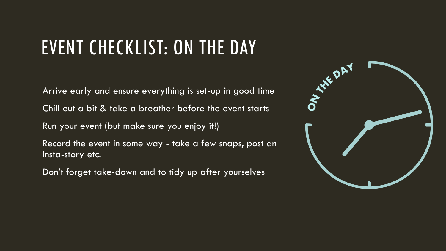### EVENT CHECKLIST: ON THE DAY

Arrive early and ensure everything is set-up in good time Chill out a bit & take a breather before the event starts Run your event (but make sure you enjoy it!) Record the event in some way - take a few snaps, post an Insta-story etc.

Don't forget take-down and to tidy up after yourselves

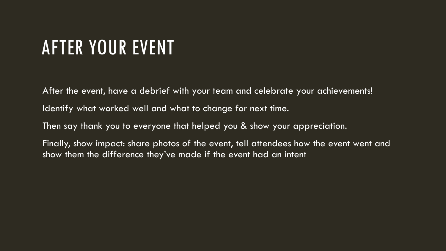### AFTER YOUR EVENT

After the event, have a debrief with your team and celebrate your achievements! Identify what worked well and what to change for next time. Then say thank you to everyone that helped you & show your appreciation. Finally, show impact: share photos of the event, tell attendees how the event went and show them the difference they've made if the event had an intent